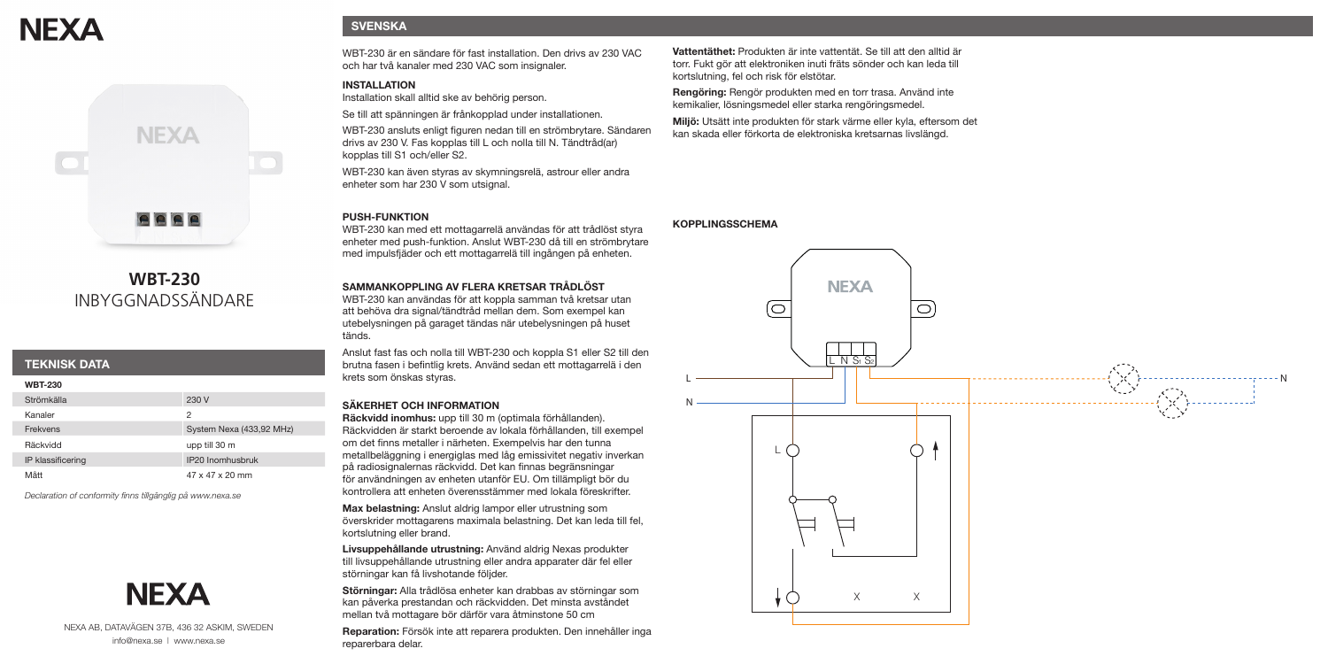# **NEXA**



# **WBT-230** INBYGGNADSSÄNDARE

### **TEKNISK DATA**

**WBT-230** 

| <b>WDI-430</b>    |                          |
|-------------------|--------------------------|
| Strömkälla        | 230 V                    |
| Kanaler           | 2                        |
| Frekvens          | System Nexa (433,92 MHz) |
| Räckvidd          | upp till 30 m            |
| IP klassificering | IP20 Inomhusbruk         |
| Mått              | 47 x 47 x 20 mm          |

*Declaration of conformity finns tillgänglig på www.nexa.se*



NEXA AB, DATAVÄGEN 37B, 436 32 ASKIM, SWEDEN info@nexa.se | www.nexa.se

### **SVENSKA**

WBT-230 är en sändare för fast installation. Den drivs av 230 VAC och har två kanaler med 230 VAC som insignaler.

### **INSTALLATION**

Installation skall alltid ske av behörig person.

Se till att spänningen är frånkopplad under installationen.

WBT-230 ansluts enligt figuren nedan till en strömbrytare. Sändaren drivs av 230 V. Fas kopplas till L och nolla till N. Tändtråd(ar) kopplas till S1 och/eller S2.

WBT-230 kan även styras av skymningsrelä, astrour eller andra enheter som har 230 V som utsignal.

### **PUSH-FUNKTION**

WBT-230 kan med ett mottagarrelä användas för att trådlöst styra enheter med push-funktion. Anslut WBT-230 då till en strömbrytare med impulsfjäder och ett mottagarrelä till ingången på enheten.

### **SAMMANKOPPLING AV FLERA KRETSAR TRÅDLÖST**

WBT-230 kan användas för att koppla samman två kretsar utan att behöva dra signal/tändtråd mellan dem. Som exempel kan utebelysningen på garaget tändas när utebelysningen på huset tänds.

Anslut fast fas och nolla till WBT-230 och koppla S1 eller S2 till den brutna fasen i befintlig krets. Använd sedan ett mottagarrelä i den krets som önskas styras.

### **SÄKERHET OCH INFORMATION**

**Räckvidd inomhus:** upp till 30 m (optimala förhållanden). Räckvidden är starkt beroende av lokala förhållanden, till exempel om det finns metaller i närheten. Exempelvis har den tunna metallbeläggning i energiglas med låg emissivitet negativ inverkan på radiosignalernas räckvidd. Det kan finnas begränsningar för användningen av enheten utanför EU. Om tillämpligt bör du kontrollera att enheten överensstämmer med lokala föreskrifter.

**Max belastning:** Anslut aldrig lampor eller utrustning som överskrider mottagarens maximala belastning. Det kan leda till fel, kortslutning eller brand.

**Livsuppehållande utrustning:** Använd aldrig Nexas produkter till livsuppehållande utrustning eller andra apparater där fel eller störningar kan få livshotande följder.

**Störningar:** Alla trådlösa enheter kan drabbas av störningar som kan påverka prestandan och räckvidden. Det minsta avståndet mellan två mottagare bör därför vara åtminstone 50 cm

**Reparation:** Försök inte att reparera produkten. Den innehåller inga reparerbara delar.

**Vattentäthet:** Produkten är inte vattentät. Se till att den alltid är torr. Fukt gör att elektroniken inuti fräts sönder och kan leda till kortslutning, fel och risk för elstötar.

**Rengöring:** Rengör produkten med en torr trasa. Använd inte kemikalier, lösningsmedel eller starka rengöringsmedel.

**Miljö:** Utsätt inte produkten för stark värme eller kyla, eftersom det kan skada eller förkorta de elektroniska kretsarnas livslängd.

### **KOPPLINGSSCHEMA**